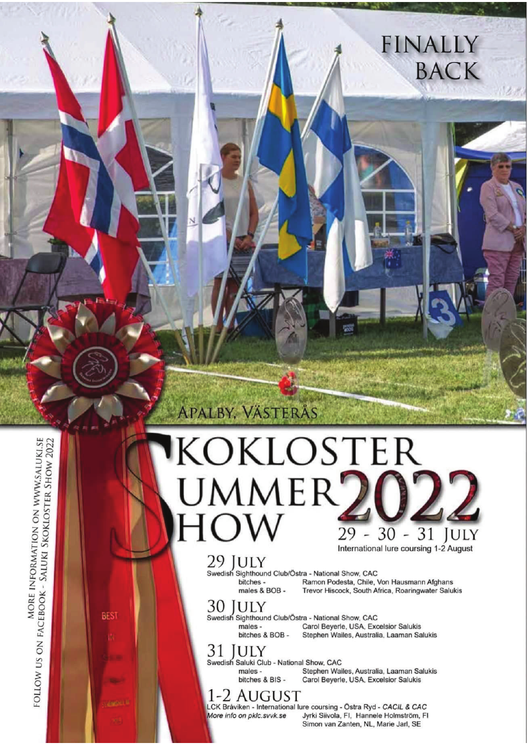# KOKLOSTER UMMER<sup>7</sup> 31  $30 -$ **JULY** 29 International lure coursing 1-2 August

## 29 IULY

**APALBY, VÄSTERÅS** 

Swedish Sighthound Club/Östra - National Show, CAC Ramon Podesta, Chile, Von Hausmann Afghans bitches males & BOB -Trevor Hiscock, South Africa, Roaringwater Salukis

#### 30 **JULY**

Swedish Sighthound Club/Östra - National Show, CAC males bitches & BOB -

Carol Beverle, USA, Excelsior Salukis Stephen Wailes, Australia, Laaman Salukis

**FINALLY** 

**BACK** 

#### 31 **ULY**

Swedish Saluki Club - National Show, CAC males -Stephen Wailes, Australia, Laaman Salukis bitches & BIS -Carol Beyerle, USA, Excelsior Salukis

# 1-2 AUGUST

More info on pklc.svvk.se

LCK Bråviken - International lure coursing - Östra Ryd - CACIL & CAC Jyrki Siivola, Fl. Hannele Holmström, Fl. Simon van Zanten, NL, Marie Jarl, SE

MORE INFORMATION ON WWW.SALUKI.SE FOLLOW US ON FACEBOOK - SALUKI SKOKLOSTER SHOW 2022

**BEST**